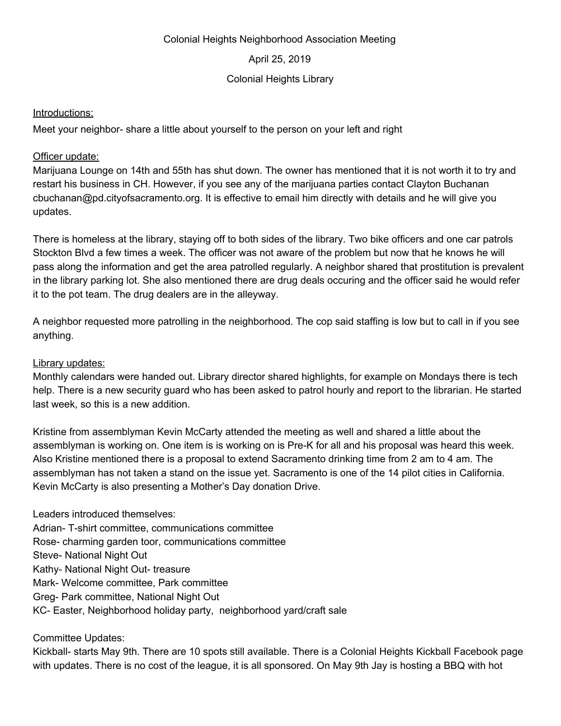#### Colonial Heights Neighborhood Association Meeting

April 25, 2019

### Colonial Heights Library

#### Introductions:

Meet your neighbor- share a little about yourself to the person on your left and right

## Officer update:

Marijuana Lounge on 14th and 55th has shut down. The owner has mentioned that it is not worth it to try and restart his business in CH. However, if you see any of the marijuana parties contact Clayton Buchanan cbuchanan@pd.cityofsacramento.org. It is effective to email him directly with details and he will give you updates.

There is homeless at the library, staying off to both sides of the library. Two bike officers and one car patrols Stockton Blvd a few times a week. The officer was not aware of the problem but now that he knows he will pass along the information and get the area patrolled regularly. A neighbor shared that prostitution is prevalent in the library parking lot. She also mentioned there are drug deals occuring and the officer said he would refer it to the pot team. The drug dealers are in the alleyway.

A neighbor requested more patrolling in the neighborhood. The cop said staffing is low but to call in if you see anything.

## Library updates:

Monthly calendars were handed out. Library director shared highlights, for example on Mondays there is tech help. There is a new security guard who has been asked to patrol hourly and report to the librarian. He started last week, so this is a new addition.

Kristine from assemblyman Kevin McCarty attended the meeting as well and shared a little about the assemblyman is working on. One item is is working on is Pre-K for all and his proposal was heard this week. Also Kristine mentioned there is a proposal to extend Sacramento drinking time from 2 am to 4 am. The assemblyman has not taken a stand on the issue yet. Sacramento is one of the 14 pilot cities in California. Kevin McCarty is also presenting a Mother's Day donation Drive.

Leaders introduced themselves: Adrian- T-shirt committee, communications committee Rose- charming garden toor, communications committee Steve- National Night Out Kathy- National Night Out- treasure Mark- Welcome committee, Park committee Greg- Park committee, National Night Out KC- Easter, Neighborhood holiday party, neighborhood yard/craft sale

# Committee Updates:

Kickball- starts May 9th. There are 10 spots still available. There is a Colonial Heights Kickball Facebook page with updates. There is no cost of the league, it is all sponsored. On May 9th Jay is hosting a BBQ with hot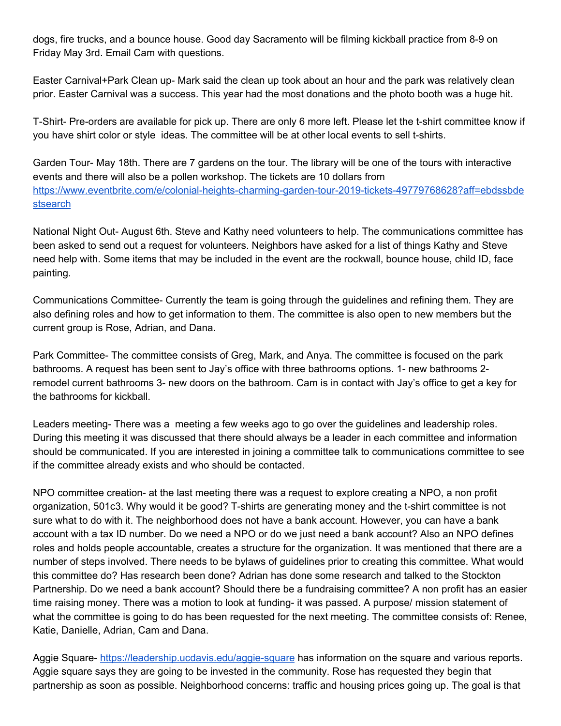dogs, fire trucks, and a bounce house. Good day Sacramento will be filming kickball practice from 8-9 on Friday May 3rd. Email Cam with questions.

Easter Carnival+Park Clean up- Mark said the clean up took about an hour and the park was relatively clean prior. Easter Carnival was a success. This year had the most donations and the photo booth was a huge hit.

T-Shirt- Pre-orders are available for pick up. There are only 6 more left. Please let the t-shirt committee know if you have shirt color or style ideas. The committee will be at other local events to sell t-shirts.

Garden Tour- May 18th. There are 7 gardens on the tour. The library will be one of the tours with interactive events and there will also be a pollen workshop. The tickets are 10 dollars from [https://www.eventbrite.com/e/colonial-heights-charming-garden-tour-2019-tickets-49779768628?aff=ebdssbde](https://www.eventbrite.com/e/colonial-heights-charming-garden-tour-2019-tickets-49779768628?aff=ebdssbdestsearch) [stsearch](https://www.eventbrite.com/e/colonial-heights-charming-garden-tour-2019-tickets-49779768628?aff=ebdssbdestsearch)

National Night Out- August 6th. Steve and Kathy need volunteers to help. The communications committee has been asked to send out a request for volunteers. Neighbors have asked for a list of things Kathy and Steve need help with. Some items that may be included in the event are the rockwall, bounce house, child ID, face painting.

Communications Committee- Currently the team is going through the guidelines and refining them. They are also defining roles and how to get information to them. The committee is also open to new members but the current group is Rose, Adrian, and Dana.

Park Committee- The committee consists of Greg, Mark, and Anya. The committee is focused on the park bathrooms. A request has been sent to Jay's office with three bathrooms options. 1- new bathrooms 2 remodel current bathrooms 3- new doors on the bathroom. Cam is in contact with Jay's office to get a key for the bathrooms for kickball.

Leaders meeting- There was a meeting a few weeks ago to go over the guidelines and leadership roles. During this meeting it was discussed that there should always be a leader in each committee and information should be communicated. If you are interested in joining a committee talk to communications committee to see if the committee already exists and who should be contacted.

NPO committee creation- at the last meeting there was a request to explore creating a NPO, a non profit organization, 501c3. Why would it be good? T-shirts are generating money and the t-shirt committee is not sure what to do with it. The neighborhood does not have a bank account. However, you can have a bank account with a tax ID number. Do we need a NPO or do we just need a bank account? Also an NPO defines roles and holds people accountable, creates a structure for the organization. It was mentioned that there are a number of steps involved. There needs to be bylaws of guidelines prior to creating this committee. What would this committee do? Has research been done? Adrian has done some research and talked to the Stockton Partnership. Do we need a bank account? Should there be a fundraising committee? A non profit has an easier time raising money. There was a motion to look at funding- it was passed. A purpose/ mission statement of what the committee is going to do has been requested for the next meeting. The committee consists of: Renee, Katie, Danielle, Adrian, Cam and Dana.

Aggie Square- <https://leadership.ucdavis.edu/aggie-square> has information on the square and various reports. Aggie square says they are going to be invested in the community. Rose has requested they begin that partnership as soon as possible. Neighborhood concerns: traffic and housing prices going up. The goal is that